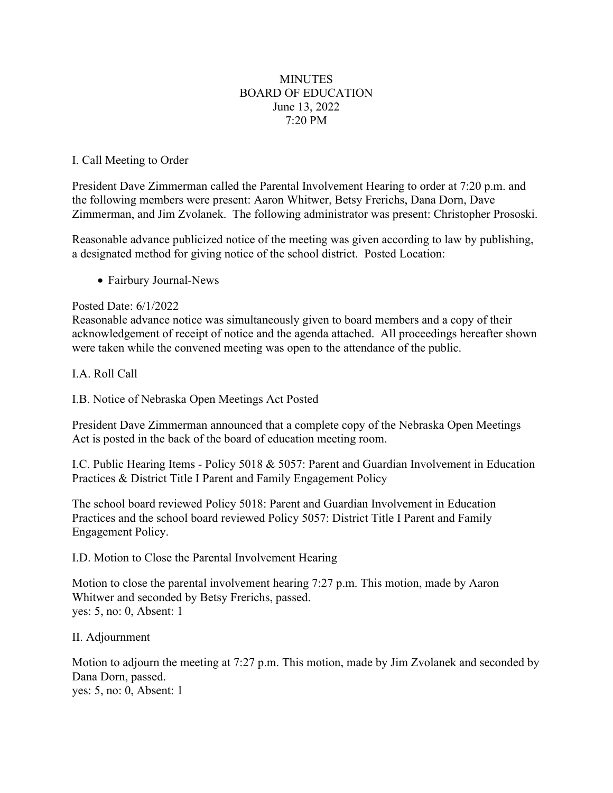# **MINUTES** BOARD OF EDUCATION June 13, 2022 7:20 PM

### I. Call Meeting to Order

President Dave Zimmerman called the Parental Involvement Hearing to order at 7:20 p.m. and the following members were present: Aaron Whitwer, Betsy Frerichs, Dana Dorn, Dave Zimmerman, and Jim Zvolanek. The following administrator was present: Christopher Prososki.

Reasonable advance publicized notice of the meeting was given according to law by publishing, a designated method for giving notice of the school district. Posted Location:

• Fairbury Journal-News

### Posted Date: 6/1/2022

Reasonable advance notice was simultaneously given to board members and a copy of their acknowledgement of receipt of notice and the agenda attached. All proceedings hereafter shown were taken while the convened meeting was open to the attendance of the public.

## I.A. Roll Call

I.B. Notice of Nebraska Open Meetings Act Posted

President Dave Zimmerman announced that a complete copy of the Nebraska Open Meetings Act is posted in the back of the board of education meeting room.

I.C. Public Hearing Items - Policy 5018 & 5057: Parent and Guardian Involvement in Education Practices & District Title I Parent and Family Engagement Policy

The school board reviewed Policy 5018: Parent and Guardian Involvement in Education Practices and the school board reviewed Policy 5057: District Title I Parent and Family Engagement Policy.

### I.D. Motion to Close the Parental Involvement Hearing

Motion to close the parental involvement hearing 7:27 p.m. This motion, made by Aaron Whitwer and seconded by Betsy Frerichs, passed. yes: 5, no: 0, Absent: 1

### II. Adjournment

Motion to adjourn the meeting at 7:27 p.m. This motion, made by Jim Zvolanek and seconded by Dana Dorn, passed. yes: 5, no: 0, Absent: 1